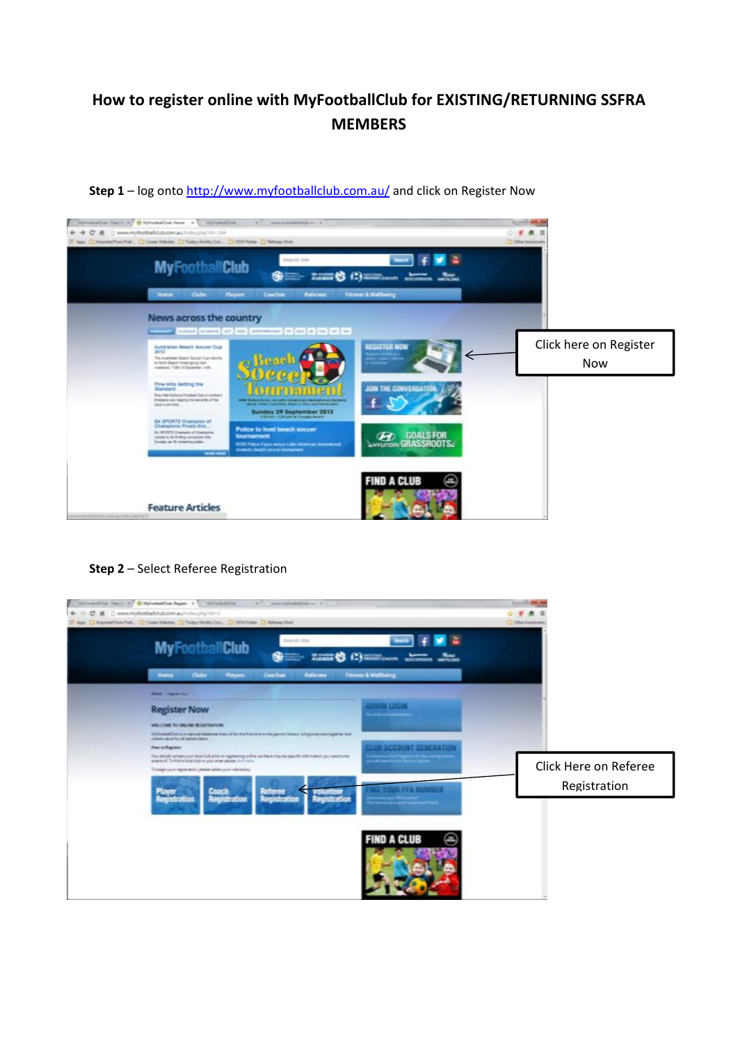# **How to register online with MyFootballClub for EXISTING/RETURNING SSFRA MEMBERS**



## **Step 1** – log onto http://www.myfootballclub.com.au/ and click on Register Now

## **Step 2** – Select Referee Registration

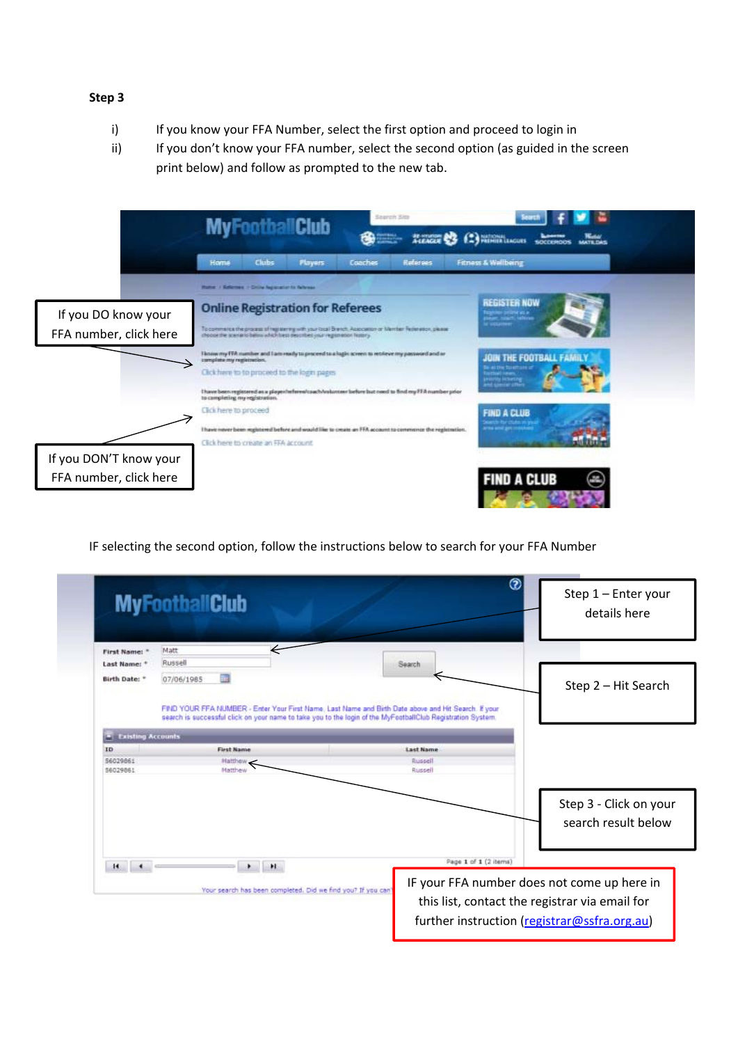## **Step 3**

- i) If you know your FFA Number, select the first option and proceed to login in
- ii) If you don't know your FFA number, select the second option (as guided in the screen print below) and follow as prompted to the new tab.



IF selecting the second option, follow the instructions below to search for your FFA Number

|                                | <b>MyFootballClub</b>                                                                                                            | 3<br>Step 1 - Enter your<br>details here                             |
|--------------------------------|----------------------------------------------------------------------------------------------------------------------------------|----------------------------------------------------------------------|
| First Name: "<br>Last Name: *  | Matt<br>Russell                                                                                                                  | Search                                                               |
| Birth Date: *                  | $\frac{1}{2}$<br>07/06/1985                                                                                                      | Step 2 - Hit Search                                                  |
| <b>Existing Accounts</b><br>ID | search is successful click on your name to take you to the login of the MyFootballClub Registration System.<br><b>First Name</b> | <b>Last Name</b>                                                     |
| \$6029861                      | Matthew                                                                                                                          | Russell                                                              |
|                                |                                                                                                                                  |                                                                      |
|                                |                                                                                                                                  | Step 3 - Click on your<br>search result below                        |
|                                | H.<br>Your search has been completed. Did we find you? If you can                                                                | Page 1 of 1 (2 items)<br>IF your FFA number does not come up here in |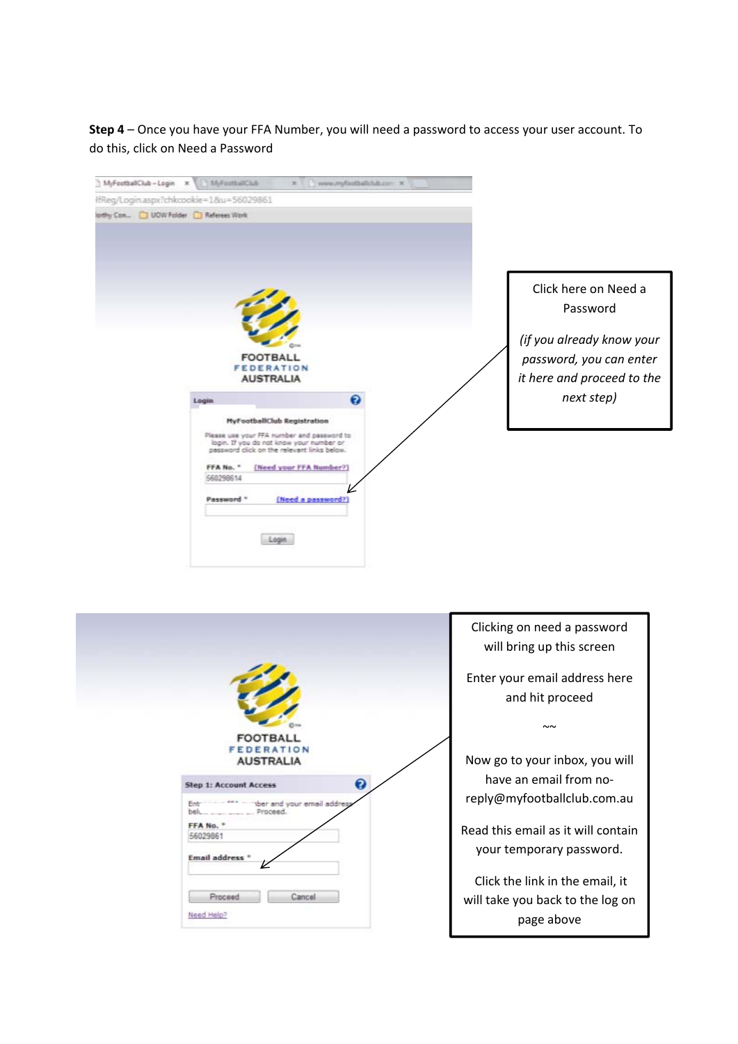**Step 4** – Once you have your FFA Number, you will need a password to access your user account. To do this, click on Need a Password

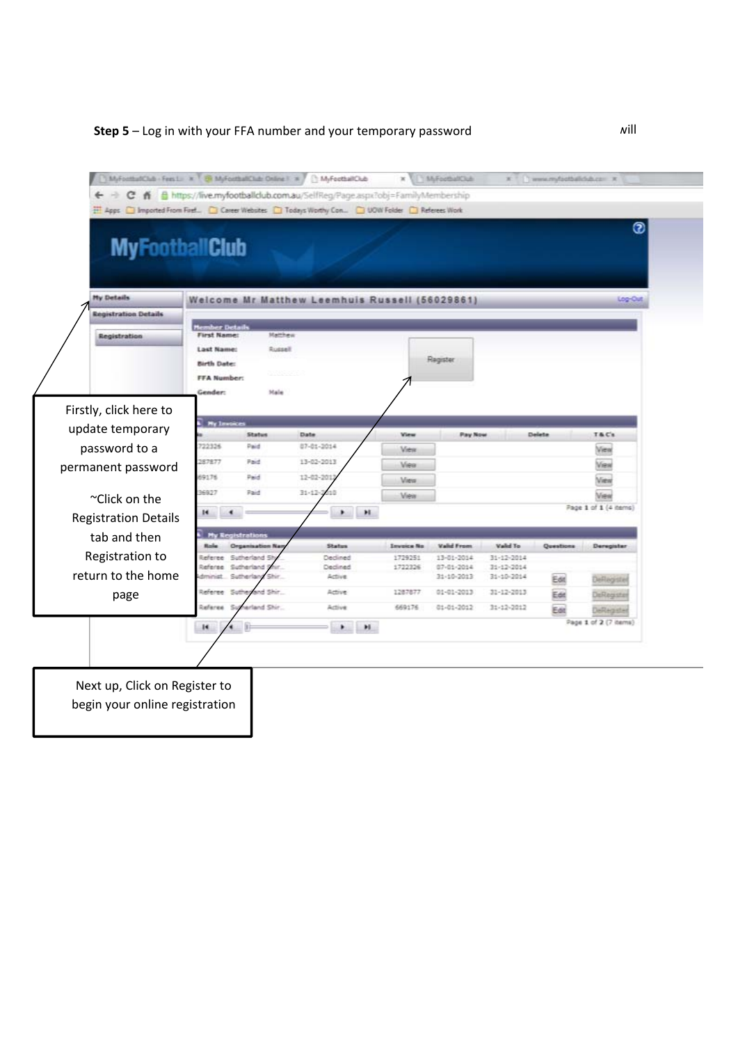## **Step 5** – Log in with your FFA number and your temporary password **EXEC 2018** 2019

|                             |                                      |                          |                                                |             |                   |                          |                                |           | ◉                     |
|-----------------------------|--------------------------------------|--------------------------|------------------------------------------------|-------------|-------------------|--------------------------|--------------------------------|-----------|-----------------------|
| <b>MyFootballClub</b>       |                                      |                          |                                                |             |                   |                          |                                |           |                       |
|                             |                                      |                          |                                                |             |                   |                          |                                |           |                       |
|                             |                                      |                          |                                                |             |                   |                          |                                |           |                       |
| <b>My Details</b>           |                                      |                          | Welcome Mr Matthew Leemhuis Russell (56029861) |             |                   |                          |                                |           | Log-Out               |
| <b>Registration Details</b> |                                      |                          |                                                |             |                   |                          |                                |           |                       |
| <b>Registration</b>         | tember Details<br><b>First Name:</b> | Matthew                  |                                                |             |                   |                          |                                |           |                       |
|                             | Last Name:                           | Russell                  |                                                |             |                   |                          |                                |           |                       |
|                             | <b>Birth Date:</b>                   |                          |                                                |             |                   | Ragister                 |                                |           |                       |
|                             | <b>FFA Number:</b>                   |                          |                                                |             |                   |                          |                                |           |                       |
|                             | Gender:                              | Male                     |                                                |             |                   |                          |                                |           |                       |
| Firstly, click here to      |                                      |                          |                                                |             |                   |                          |                                |           |                       |
| update temporary            | <b>Ny Immices</b>                    | <b>Status</b>            | Date                                           |             | View              | Pay Now                  |                                | Delete    | T&C's                 |
| password to a               | 22326                                | Paid                     | 87-81-2014                                     |             | View              |                          |                                |           | View                  |
| permanent password          | 187877                               | Paid                     | 13-02-2013                                     |             | View              |                          |                                |           | View                  |
|                             | 691.76                               | Paid                     | 12-02-20                                       |             | <b>Miess</b>      |                          |                                |           | View                  |
| ~Click on the               | 6927                                 | Paid                     | $31 - 12 - 2$                                  |             | Mieix             |                          |                                |           | View                  |
| <b>Registration Details</b> | H                                    |                          |                                                | $\bullet$ H |                   |                          |                                |           | Page 1 of 1 (4 items) |
|                             |                                      | <b>My Registrations</b>  |                                                |             |                   |                          |                                |           |                       |
| tab and then                |                                      | <b>Organisation Nat</b>  | <b>Status</b>                                  |             | <b>Invoice No</b> | Valid From               | Vald To                        | Questions | Deregister            |
| Registration to             | Referee Sutherland                   | leferee Sutherland St    | Declined                                       |             | 1729251           | 13-01-2014               | $31 - 12 - 2014$               |           |                       |
| return to the home          |                                      | Sutherland<br>Shir.      | Declined<br>Active                             |             | 1722326           | 07-01-2014<br>31-10-2013 | $31 - 12 - 2014$<br>31-10-2014 | Edit      | Deflegister           |
| page                        |                                      | Referee Sutherland Shir. | Active                                         |             | 1287877           | $01 - 01 - 2013$         | $31 - 12 - 2013$               | Edit      | DeRegiste             |
|                             | Referee Sut                          | herland Shir.            | Active                                         |             | 669176            | 01-01-2012               | 31-12-2012                     | Est       | DeRegister            |
|                             | ×                                    |                          | ٠                                              | H.          |                   |                          |                                |           | Page 1 of 2 (7 items) |
|                             |                                      |                          |                                                |             |                   |                          |                                |           |                       |
|                             |                                      |                          |                                                |             |                   |                          |                                |           |                       |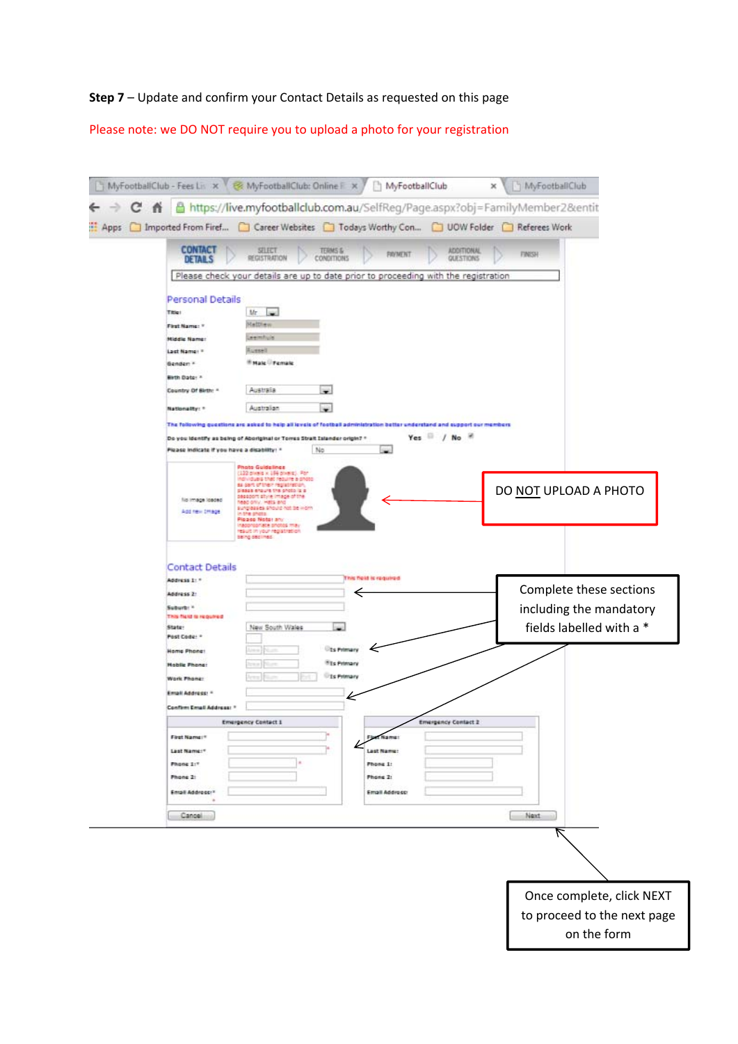## **Step 7** – Update and confirm your Contact Details as requested on this page

Please note: we DO NOT require you to upload a photo for your registration

|      |   |                                                                                                                       | MyFootballClub - Fees Lis x W & MyFootballClub: Online F x Y                                                                                                                                                                                                                                                                                                         | MyFootballClub                                                                        |                                | × | MyFootballClub |                                                                                |  |
|------|---|-----------------------------------------------------------------------------------------------------------------------|----------------------------------------------------------------------------------------------------------------------------------------------------------------------------------------------------------------------------------------------------------------------------------------------------------------------------------------------------------------------|---------------------------------------------------------------------------------------|--------------------------------|---|----------------|--------------------------------------------------------------------------------|--|
|      | 舂 |                                                                                                                       | https://live.myfootballclub.com.au/SelfReg/Page.aspx?obj=FamilyMember2&entit                                                                                                                                                                                                                                                                                         |                                                                                       |                                |   |                |                                                                                |  |
| Apps |   |                                                                                                                       | Imported From Firef <b>Confidence Websites Containst Worthy Con</b> COUV Folder                                                                                                                                                                                                                                                                                      |                                                                                       |                                |   | Referees Work  |                                                                                |  |
|      |   | <b>CONTACT</b><br><b>DETAILS</b>                                                                                      | <b>SELECT</b><br>TERNS &<br>REGISTRATION<br><b>CONDITIONS</b>                                                                                                                                                                                                                                                                                                        | <b>FIGYMENT</b>                                                                       | <b>ADDITIONAL</b><br>QUESTIONS |   | <b>FINISH</b>  |                                                                                |  |
|      |   |                                                                                                                       | Please check your details are up to date prior to proceeding with the registration                                                                                                                                                                                                                                                                                   |                                                                                       |                                |   |                |                                                                                |  |
|      |   |                                                                                                                       |                                                                                                                                                                                                                                                                                                                                                                      |                                                                                       |                                |   |                |                                                                                |  |
|      |   | Personal Details<br>Title!                                                                                            | <b>Cold</b><br>Mr.                                                                                                                                                                                                                                                                                                                                                   |                                                                                       |                                |   |                |                                                                                |  |
|      |   | First Name: 1                                                                                                         | Matthew                                                                                                                                                                                                                                                                                                                                                              |                                                                                       |                                |   |                |                                                                                |  |
|      |   | <b>Hiddle Name:</b>                                                                                                   | Leemhuis                                                                                                                                                                                                                                                                                                                                                             |                                                                                       |                                |   |                |                                                                                |  |
|      |   | Last Name! *                                                                                                          | Aussell                                                                                                                                                                                                                                                                                                                                                              |                                                                                       |                                |   |                |                                                                                |  |
|      |   | Genden *                                                                                                              | <b><i>Finale Female</i></b>                                                                                                                                                                                                                                                                                                                                          |                                                                                       |                                |   |                |                                                                                |  |
|      |   | Mirth Date: *<br>Country Of Birth: *                                                                                  | Australia                                                                                                                                                                                                                                                                                                                                                            |                                                                                       |                                |   |                |                                                                                |  |
|      |   | <b>Nationality:</b> *                                                                                                 | Australian<br>w.                                                                                                                                                                                                                                                                                                                                                     |                                                                                       |                                |   |                |                                                                                |  |
|      |   |                                                                                                                       | The following questions are asked to help all levels of football administration better understand and support our members                                                                                                                                                                                                                                            |                                                                                       |                                |   |                |                                                                                |  |
|      |   |                                                                                                                       | Do you identify as being of Aboriginal or Torres Strait Islander origin? *                                                                                                                                                                                                                                                                                           |                                                                                       | $Yes \t / No \t$               |   |                |                                                                                |  |
|      |   | Please indicate if you have a disability! *                                                                           | No                                                                                                                                                                                                                                                                                                                                                                   | S.                                                                                    |                                |   |                |                                                                                |  |
|      |   | fild image loaded<br>Add raw treage                                                                                   | <b>Photo Guidelines</b><br>(122 pixels x 194 pixels). Por<br>ndridues that require a photo-<br>as part of their registration.<br>please ensure the photo is a<br>sessors style image of the<br>head only. Hats and<br>sunglesses should hat be worn<br>nithe photo.<br>Please Noter any<br>nappropriate protos may<br>result in your registration<br>being declined. |                                                                                       |                                |   |                | DO NOT UPLOAD A PHOTO                                                          |  |
|      |   | <b>Contact Details</b><br>Address 1: *<br>Address 2:<br>Suburb: 1<br>This field is required<br>State:<br>Post Code: * | New South Wales                                                                                                                                                                                                                                                                                                                                                      | This field is required<br>⇐                                                           |                                |   |                | Complete these sections<br>including the mandatory<br>fields labelled with a * |  |
|      |   | Home Phone:<br><b>Mobile Phone:</b><br><b>Work Phone:</b>                                                             |                                                                                                                                                                                                                                                                                                                                                                      | <b>City Primary</b><br><b><i><u>Fits Primary</u></i></b><br><b><i>UTs Primary</i></b> |                                |   |                |                                                                                |  |
|      |   | Email Address: 1                                                                                                      |                                                                                                                                                                                                                                                                                                                                                                      | k                                                                                     |                                |   |                |                                                                                |  |
|      |   | Confirm Email Address:                                                                                                | <b>Emergency Contact 1</b>                                                                                                                                                                                                                                                                                                                                           |                                                                                       | <b>Envergency Contact 2</b>    |   |                |                                                                                |  |
|      |   | First Name:"                                                                                                          |                                                                                                                                                                                                                                                                                                                                                                      | it Name:                                                                              |                                |   |                |                                                                                |  |
|      |   | Last Name:                                                                                                            |                                                                                                                                                                                                                                                                                                                                                                      | Last Name:                                                                            |                                |   |                |                                                                                |  |
|      |   | Phone 1:1                                                                                                             |                                                                                                                                                                                                                                                                                                                                                                      | Phone 1:                                                                              |                                |   |                |                                                                                |  |
|      |   | Phone 2:                                                                                                              |                                                                                                                                                                                                                                                                                                                                                                      | Phone 2:                                                                              |                                |   |                |                                                                                |  |
|      |   | Email Address!"                                                                                                       |                                                                                                                                                                                                                                                                                                                                                                      | Email Address:                                                                        |                                |   |                |                                                                                |  |
|      |   | Cancel                                                                                                                |                                                                                                                                                                                                                                                                                                                                                                      |                                                                                       |                                |   | Next           |                                                                                |  |
|      |   |                                                                                                                       |                                                                                                                                                                                                                                                                                                                                                                      |                                                                                       |                                |   |                |                                                                                |  |
|      |   |                                                                                                                       |                                                                                                                                                                                                                                                                                                                                                                      |                                                                                       |                                |   |                |                                                                                |  |
|      |   |                                                                                                                       |                                                                                                                                                                                                                                                                                                                                                                      |                                                                                       |                                |   |                |                                                                                |  |
|      |   |                                                                                                                       |                                                                                                                                                                                                                                                                                                                                                                      |                                                                                       |                                |   |                |                                                                                |  |
|      |   |                                                                                                                       |                                                                                                                                                                                                                                                                                                                                                                      |                                                                                       |                                |   |                | Once complete, click NEXT                                                      |  |
|      |   |                                                                                                                       |                                                                                                                                                                                                                                                                                                                                                                      |                                                                                       |                                |   |                | to proceed to the next page                                                    |  |
|      |   |                                                                                                                       |                                                                                                                                                                                                                                                                                                                                                                      |                                                                                       |                                |   |                | on the form                                                                    |  |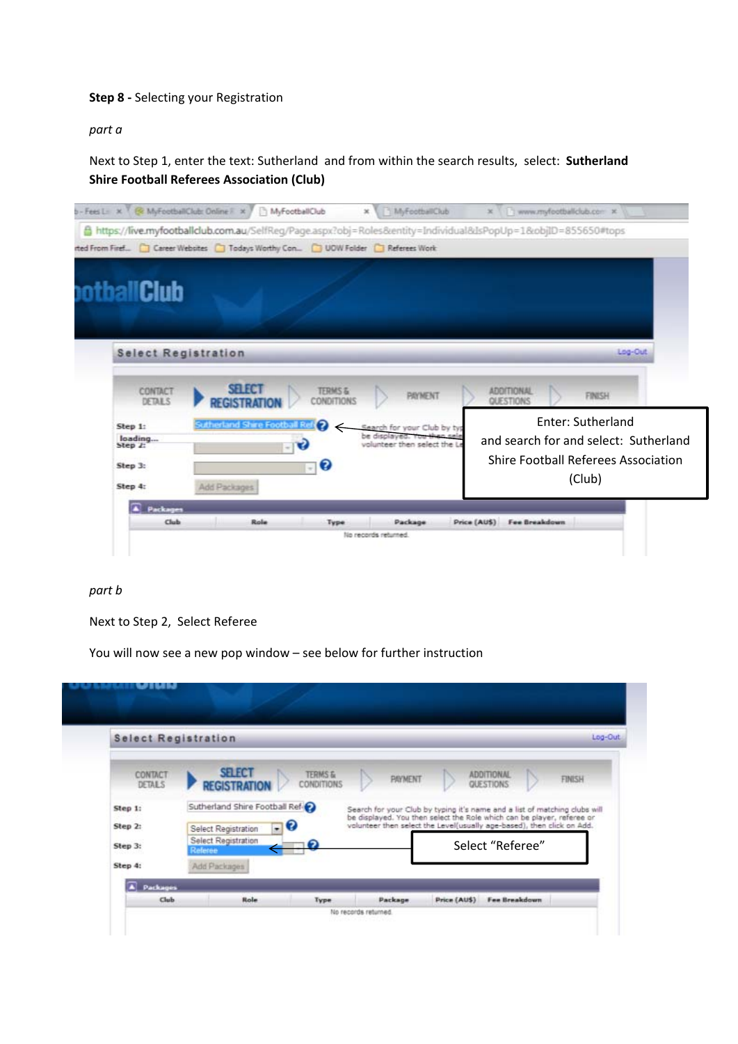#### **Step 8 ‐** Selecting your Registration

*part a*

Next to Step 1, enter the text: Sutherland and from within the search results, select: **Sutherland Shire Football Referees Association (Club)**



#### *part b*

Next to Step 2, Select Referee

You will now see a new pop window – see below for further instruction

|                          | <b>Select Registration</b>             |                                  |                |                                                                                                                                                      |               |
|--------------------------|----------------------------------------|----------------------------------|----------------|------------------------------------------------------------------------------------------------------------------------------------------------------|---------------|
| CONTACT<br><b>DETALS</b> | <b>SELECT</b><br><b>REGISTRATION</b>   | <b>TERMS &amp;</b><br>CONDITIONS | <b>PAYMENT</b> | <b>ADDITIONAL</b><br><b>QUESTIONS</b>                                                                                                                | <b>FINISH</b> |
| Step 1:                  | Sutherland Shire Football Ref          |                                  |                | Search for your Club by typing it's name and a list of matching clubs will<br>be displayed. You then select the Role which can be player, referee or |               |
| Step 2                   | $\Box$ 6<br><b>Select Registration</b> |                                  |                | volunteer then select the Level(usually age-based), then click on Add.                                                                               |               |
| Step 3:                  | <b>Select Registration</b><br>Referee  | 0                                |                | Select "Referee"                                                                                                                                     |               |
| Step 4:                  | Add Packages                           |                                  |                |                                                                                                                                                      |               |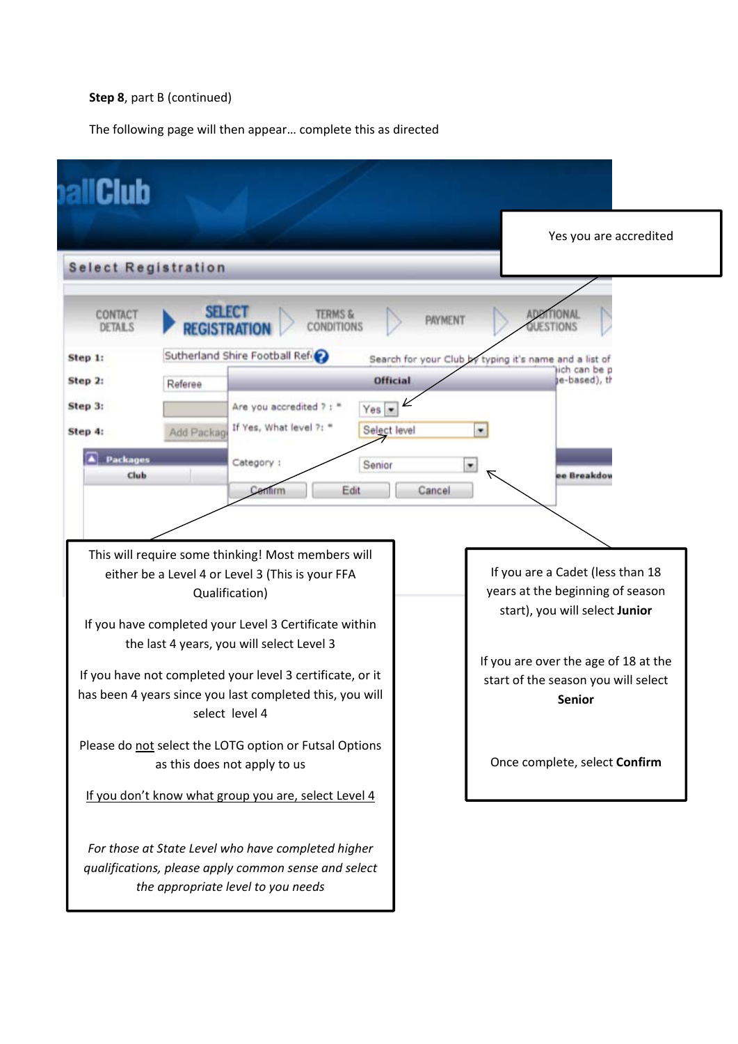## **Step 8**, part B (continued)

The following page will then appear… complete this as directed

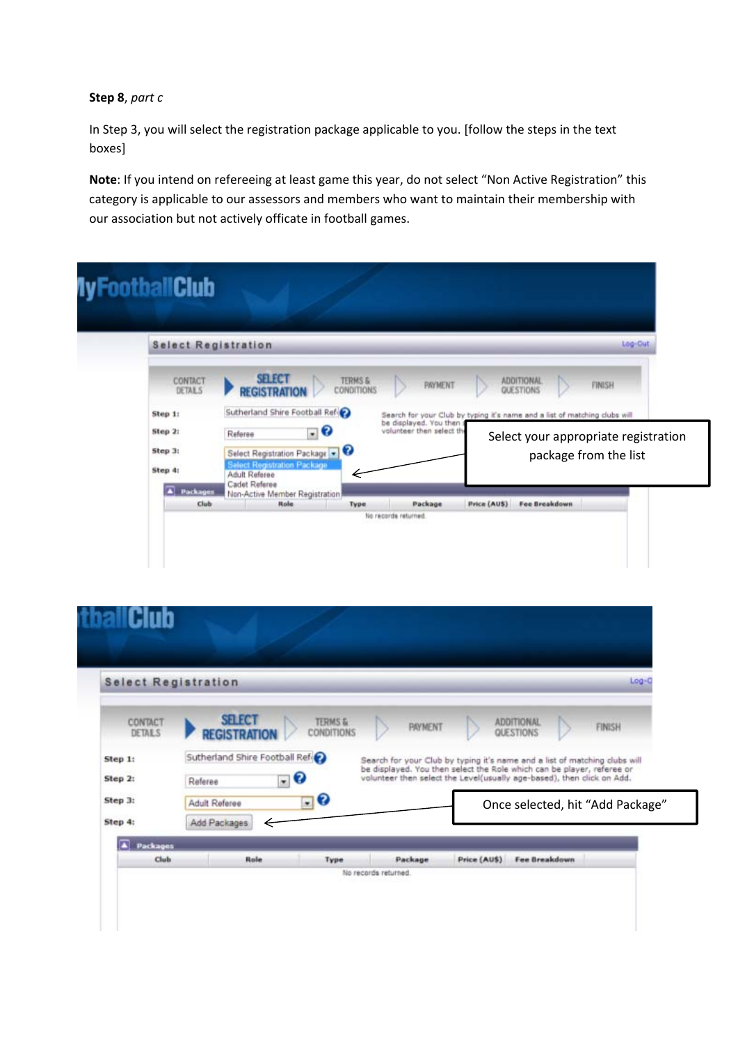## **Step 8**, *part c*

In Step 3, you will select the registration package applicable to you. [follow the steps in the text boxes]

**Note**: If you intend on refereeing at least game this year, do not select "Non Active Registration" this category is applicable to our assessors and members who want to maintain their membership with our association but not actively officate in football games.

| <b>Select Registration</b><br>Log-Out |                                                                                            |                                                                            |  |  |  |
|---------------------------------------|--------------------------------------------------------------------------------------------|----------------------------------------------------------------------------|--|--|--|
| CONTACT<br>DETAILS                    | <b>SELECT</b><br><b>TERMS &amp;</b><br><b>PAYMENT</b><br>CONDITIONS<br><b>REGISTRATION</b> | ADDITIONAL<br>FINISH<br>QUESTIONS                                          |  |  |  |
| Step 1:                               | Sutherland Shire Football Ref-                                                             | Search for your Club by typing it's name and a list of matching clubs will |  |  |  |
| Step 2:                               | be displayed. You then<br>$\cdot$ 0<br>volunteer then select the<br>Referee                | Select your appropriate registration                                       |  |  |  |
| Step 3:                               | Select Registration Package v                                                              | package from the list                                                      |  |  |  |
| Step 4:                               | <b>Select Registration Package</b><br>Adult Referee                                        |                                                                            |  |  |  |
| A Packages                            | Cadet Referee<br>Non-Active Member Registration                                            |                                                                            |  |  |  |

| <b>Select Registration</b>                                            |                                                                                                                   |                                                                   |                |                                                                                                                                                                                                                                                                  | $Log-C$                                    |
|-----------------------------------------------------------------------|-------------------------------------------------------------------------------------------------------------------|-------------------------------------------------------------------|----------------|------------------------------------------------------------------------------------------------------------------------------------------------------------------------------------------------------------------------------------------------------------------|--------------------------------------------|
| CONTACT<br><b>DETAILS</b><br>Step 1:<br>Step 2:<br>Step 3:<br>Step 4: | <b>SELECT</b><br><b>REGISTRATION</b><br>Sutherland Shire Football Ref<br>Referee<br>Adult Referee<br>Add Packages | <b>TERMS &amp;</b><br><b>CONDITIONS</b><br>$-8$<br>$\blacksquare$ | <b>PAYMENT</b> | <b>ADDITIONAL</b><br>QUESTIONS<br>Search for your Club by typing it's name and a list of matching clubs will<br>be displayed. You then select the Role which can be player, referee or<br>volunteer then select the Level(usually age-based), then click on Add. | FINISH<br>Once selected, hit "Add Package" |
| ≖<br><b>Packages</b>                                                  |                                                                                                                   |                                                                   |                |                                                                                                                                                                                                                                                                  |                                            |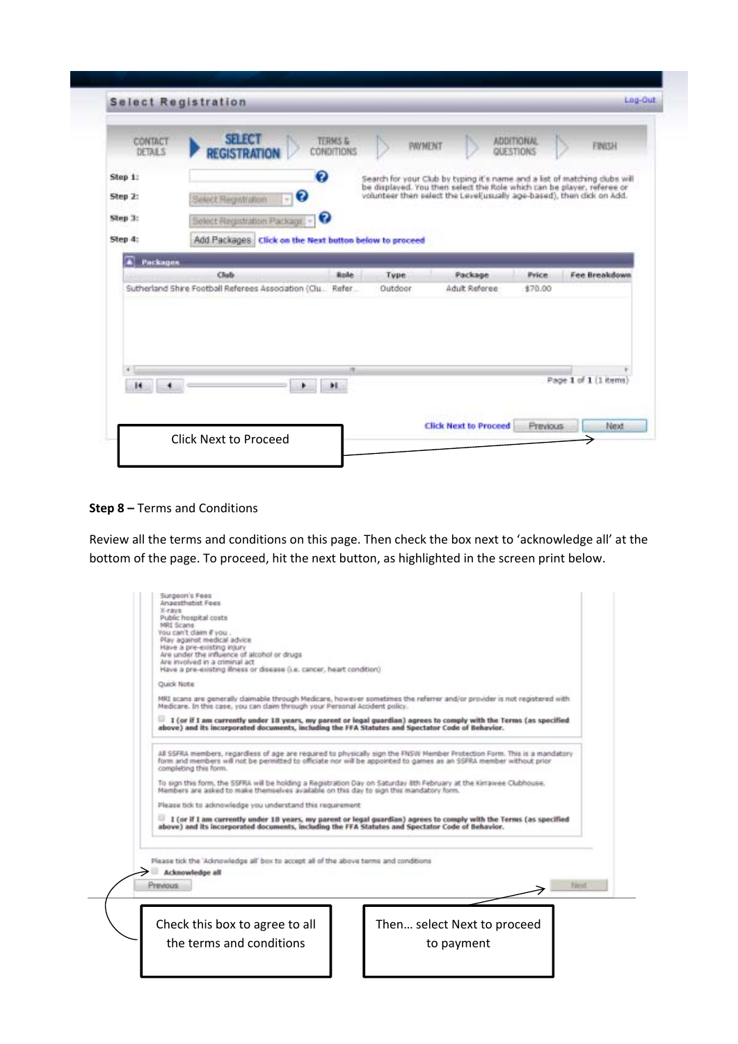| CONTACT<br><b>DETAILS</b>      | <b>SELECT</b><br>TERMS &<br><b>REGISTRATION</b><br><b>CONDITIONS</b>                                   |                     | PAYMENT                                                                                                                                                                                                                       | <b>ADDITIONAL</b><br>QUESTIONS | FINISH               |
|--------------------------------|--------------------------------------------------------------------------------------------------------|---------------------|-------------------------------------------------------------------------------------------------------------------------------------------------------------------------------------------------------------------------------|--------------------------------|----------------------|
| Step 1:<br>Step 2:             | ø<br>0<br>Select Registration                                                                          |                     | Search for your Club by typing it's name and a list of matching clubs will<br>be displayed. You then select the Role which can be player, referee or<br>volunteer then select the Level(usually age-based), then dick on Add. |                                |                      |
| Step 3:<br>Step 4:<br>Packages | ø<br>Select Registration Package.<br>$\sim$<br>Add Packages: Click on the Next button below to proceed |                     |                                                                                                                                                                                                                               |                                |                      |
|                                | Club                                                                                                   | <b>Role</b><br>Type | Package                                                                                                                                                                                                                       | Price                          | <b>Fee Breakdown</b> |
|                                | Sutherland Shire Football Referees Association (Clu                                                    | Refer<br>Outdoor    | Adult Referee                                                                                                                                                                                                                 | \$70.00                        |                      |
|                                |                                                                                                        |                     |                                                                                                                                                                                                                               |                                |                      |

## **Step 8 –** Terms and Conditions

Review all the terms and conditions on this page. Then check the box next to 'acknowledge all' at the bottom of the page. To proceed, hit the next button, as highlighted in the screen print below.

| Public hospital costs<br>MRI Scane<br>You can't claim if you.<br>Play against medical advice<br>Have a pre-existing injury<br>Are under the influence of alcohol or drugs<br>Are involved in a criminal act |                                                                                                                                                                                                                                                  |
|-------------------------------------------------------------------------------------------------------------------------------------------------------------------------------------------------------------|--------------------------------------------------------------------------------------------------------------------------------------------------------------------------------------------------------------------------------------------------|
| Have a pre-existing illness or disease (i.e. cancer, heart condition).<br>Quick Note                                                                                                                        |                                                                                                                                                                                                                                                  |
| Medicare. In this case, you can daim through your Personal Accident policy.                                                                                                                                 | MRI scans are generally daimable through Medicare, however sometimes the referrer and/or provider is not registered with                                                                                                                         |
| above) and its incorporated documents, including the FFA Statutes and Spectator Code of Behavior.                                                                                                           | If (or if I am currently under 18 years, my parent or legal guardian) agrees to comply with the Terms (as specified                                                                                                                              |
| completing this form.                                                                                                                                                                                       | All SSFRA members, regardless of age are required to physically sign the FNSW Member Protection Form. This is a mandatory<br>form and members will not be permitted to officiate nor will be appointed to games as an SSFRA member without prior |
| Members are asked to make themselves available on this day to sign this mandatory form.                                                                                                                     | To sign this form, the SSFRA will be holding a Registration Day on Saturday 6th February at the Kirrawee Clubhouse.                                                                                                                              |
| Please tick to admowledge you understand this requirement                                                                                                                                                   |                                                                                                                                                                                                                                                  |
| above) and its incorporated documents, including the FFA Statutes and Spectator Code of Behavior.                                                                                                           | I (or if I am currently under 18 years, my parent or legal guardian) agrees to comply with the Terms (as specified                                                                                                                               |
| Please tick the 'Advnowledge all' box to accept all of the above terms and conditions<br>Acknowledge all<br><b>Previous</b>                                                                                 |                                                                                                                                                                                                                                                  |
|                                                                                                                                                                                                             | Then select Next to proceed                                                                                                                                                                                                                      |
| Check this box to agree to all                                                                                                                                                                              |                                                                                                                                                                                                                                                  |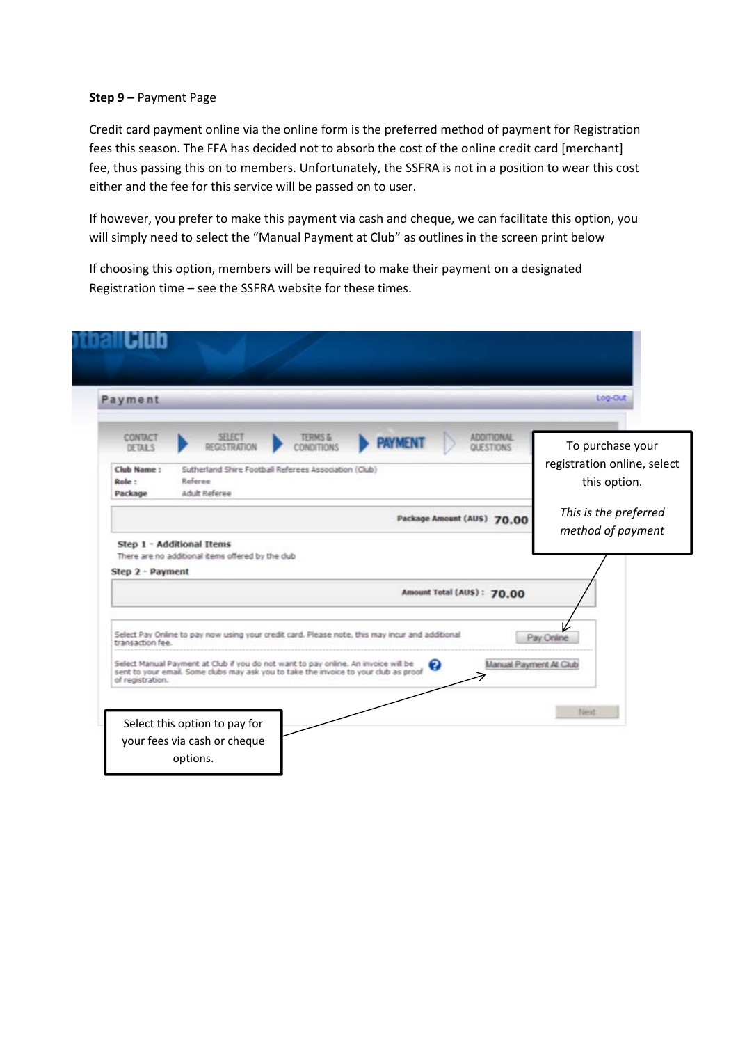#### **Step 9 –** Payment Page

Credit card payment online via the online form is the preferred method of payment for Registration fees this season. The FFA has decided not to absorb the cost of the online credit card [merchant] fee, thus passing this on to members. Unfortunately, the SSFRA is not in a position to wear this cost either and the fee for this service will be passed on to user.

If however, you prefer to make this payment via cash and cheque, we can facilitate this option, you will simply need to select the "Manual Payment at Club" as outlines in the screen print below

If choosing this option, members will be required to make their payment on a designated Registration time – see the SSFRA website for these times.

|                                      |                                                                                                                                                                                                                                                                               |                                  |                |                                | Log-Out                                     |
|--------------------------------------|-------------------------------------------------------------------------------------------------------------------------------------------------------------------------------------------------------------------------------------------------------------------------------|----------------------------------|----------------|--------------------------------|---------------------------------------------|
| CONTACT<br>DETAILS                   | <b>SELECT</b><br><b>REGISTRATION</b>                                                                                                                                                                                                                                          | <b>TERMS &amp;</b><br>CONDITIONS | <b>PAYMENT</b> | <b>ADDITIONAL</b><br>QUESTIONS | To purchase your                            |
| Club Name:<br>Role:                  | Sutherland Shire Football Referees Association (Club)<br>Referee                                                                                                                                                                                                              |                                  |                |                                | registration online, select<br>this option. |
| Package                              | Adult Referee                                                                                                                                                                                                                                                                 |                                  |                | Package Amount (AUS) 70.00     | This is the preferred                       |
|                                      |                                                                                                                                                                                                                                                                               |                                  |                | Amount Total (AUS): 70.00      |                                             |
|                                      |                                                                                                                                                                                                                                                                               |                                  |                |                                |                                             |
|                                      |                                                                                                                                                                                                                                                                               |                                  |                |                                |                                             |
| transaction fee.<br>of registration. | Select Pay Online to pay now using your credit card. Please note, this may incur and additional<br>Select Manual Payment at Club if you do not want to pay online. An invoice will be<br>sent to your email. Some clubs may ask you to take the invoice to your club as proof |                                  |                | Ø                              | Pay Online<br>Manual Payment At Club        |